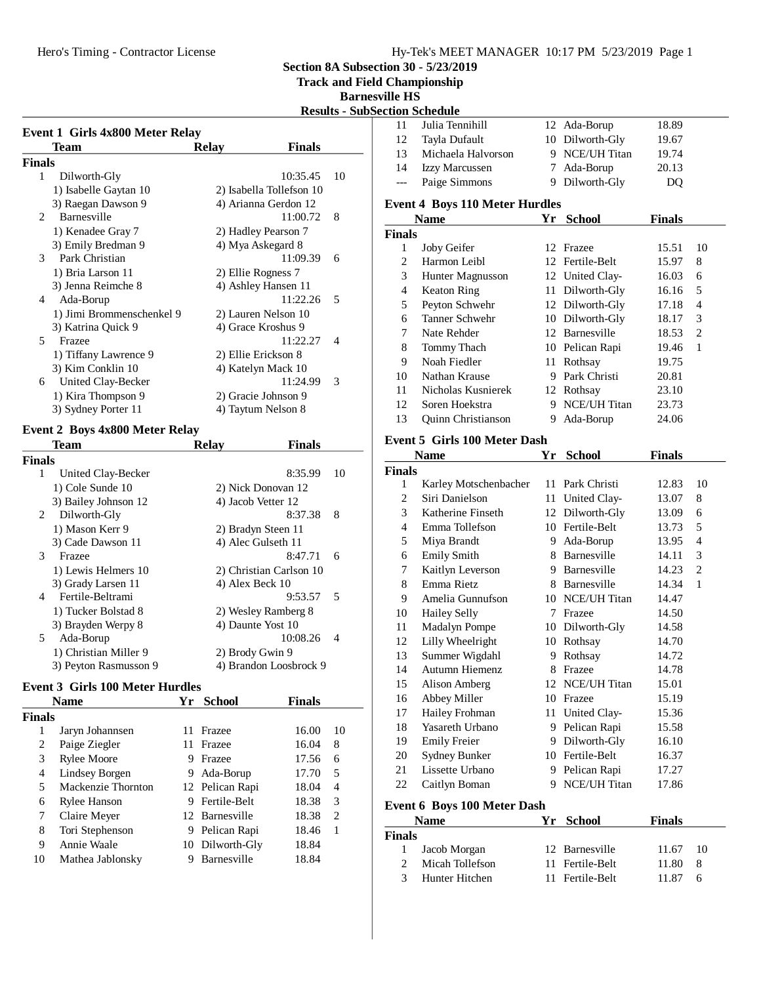**Section 8A Subsection 30 - 5/23/2019**

**Track and Field Championship**

**Barnesvil** 

|                                 |                     |                          | <b>Results - SubSec</b>  |
|---------------------------------|---------------------|--------------------------|--------------------------|
| Event 1 Girls 4x800 Meter Relay |                     |                          |                          |
| <b>Team</b>                     | <b>Relay</b>        | <b>Finals</b>            |                          |
| Finals                          |                     |                          |                          |
| 1<br>Dilworth-Gly               |                     | 10:35.45                 | 10                       |
| 1) Isabelle Gaytan 10           |                     | 2) Isabella Tollefson 10 |                          |
| 3) Raegan Dawson 9              |                     | 4) Arianna Gerdon 12     | I                        |
| Barnesville<br>$\mathfrak{D}$   |                     | 11:00.72                 | 8                        |
| 1) Kenadee Gray 7               | 2) Hadley Pearson 7 |                          | $\overline{\mathbf{i}}$  |
| 3) Emily Bredman 9              | 4) Mya Askegard 8   |                          |                          |
| Park Christian<br>3             |                     | 11:09.39                 | 6                        |
| 1) Bria Larson 11               | 2) Ellie Rogness 7  |                          |                          |
| 3) Jenna Reimche 8              |                     | 4) Ashley Hansen 11      |                          |
| Ada-Borup<br>4                  |                     | 11:22.26                 | 5                        |
| 1) Jimi Brommenschenkel 9       |                     | 2) Lauren Nelson 10      |                          |
| 3) Katrina Quick 9              | 4) Grace Kroshus 9  |                          |                          |
| 5<br>Frazee                     |                     | 11:22.27                 | $\overline{\mathcal{A}}$ |
| 1) Tiffany Lawrence 9           | 2) Ellie Erickson 8 |                          |                          |
| 3) Kim Conklin 10               | 4) Katelyn Mack 10  |                          |                          |
| United Clay-Becker<br>6         |                     | 11:24.99                 | 3                        |
| 1) Kira Thompson 9              | 2) Gracie Johnson 9 |                          |                          |
| 3) Sydney Porter 11             | 4) Taytum Nelson 8  |                          |                          |
|                                 |                     |                          |                          |

# **Event 2 Boys 4x800 Meter Relay**

|        | Team                  | <b>Relay</b>       | <b>Finals</b>           |    |
|--------|-----------------------|--------------------|-------------------------|----|
| Finals |                       |                    |                         |    |
| 1      | United Clay-Becker    |                    | 8:35.99                 | 10 |
|        | 1) Cole Sunde 10      |                    | 2) Nick Donovan 12      |    |
|        | 3) Bailey Johnson 12  | 4) Jacob Vetter 12 |                         |    |
| 2      | Dilworth-Gly          |                    | 8:37.38                 | 8  |
|        | 1) Mason Kerr 9       | 2) Bradyn Steen 11 |                         |    |
|        | 3) Cade Dawson 11     | 4) Alec Gulseth 11 |                         |    |
| 3      | Frazee                |                    | 8:47.71                 | 6  |
|        | 1) Lewis Helmers 10   |                    | 2) Christian Carlson 10 |    |
|        | 3) Grady Larsen 11    | 4) Alex Beck 10    |                         |    |
| 4      | Fertile-Beltrami      |                    | 9:53.57                 | 5  |
|        | 1) Tucker Bolstad 8   |                    | 2) Wesley Ramberg 8     |    |
|        | 3) Brayden Werpy 8    | 4) Daunte Yost 10  |                         |    |
| 5      | Ada-Borup             |                    | 10:08.26                | 4  |
|        | 1) Christian Miller 9 | 2) Brody Gwin 9    |                         |    |
|        | 3) Peyton Rasmusson 9 |                    | 4) Brandon Loosbrock 9  |    |

## **Event 3 Girls 100 Meter Hurdles**

| <b>Name</b>         | Yг | <b>School</b> | <b>Finals</b>                                                                          |    |
|---------------------|----|---------------|----------------------------------------------------------------------------------------|----|
|                     |    |               |                                                                                        |    |
| Jaryn Johannsen     | 11 | Frazee        | 16.00                                                                                  | 10 |
| Paige Ziegler       | 11 | Frazee        | 16.04                                                                                  | 8  |
| <b>Rylee Moore</b>  | 9  | Frazee        | 17.56                                                                                  | 6  |
| Lindsey Borgen      | 9  | Ada-Borup     | 17.70                                                                                  | 5  |
| Mackenzie Thornton  |    |               | 18.04                                                                                  | 4  |
| <b>Rylee Hanson</b> | 9  |               | 18.38                                                                                  | 3  |
| Claire Meyer        |    |               | 18.38                                                                                  | 2  |
| Tori Stephenson     |    |               | 18.46                                                                                  | 1  |
| Annie Waale         |    |               | 18.84                                                                                  |    |
| Mathea Jablonsky    |    | Barnesville   | 18.84                                                                                  |    |
|                     |    |               | 12 Pelican Rapi<br>Fertile-Belt<br>12 Barnesville<br>9 Pelican Rapi<br>10 Dilworth-Gly |    |

| ville HS       |                                       |    |                 |                |                |
|----------------|---------------------------------------|----|-----------------|----------------|----------------|
|                | ection Schedule                       |    |                 |                |                |
| 11             | Julia Tennihill                       |    | 12 Ada-Borup    | 18.89          |                |
| 12             | Tayla Dufault                         |    | 10 Dilworth-Gly | 19.67          |                |
| 13             | Michaela Halvorson                    |    | 9 NCE/UH Titan  | 19.74          |                |
| 14             | <b>Izzy Marcussen</b>                 |    | 7 Ada-Borup     | 20.13          |                |
| $---$          | Paige Simmons                         |    | 9 Dilworth-Gly  | DQ             |                |
|                |                                       |    |                 |                |                |
|                | <b>Event 4 Boys 110 Meter Hurdles</b> |    |                 |                |                |
|                | Name                                  |    | Yr School       | <b>Finals</b>  |                |
| <b>Finals</b>  |                                       |    |                 |                |                |
| 1              | Joby Geifer                           |    | 12 Frazee       | 15.51          | 10             |
| $\mathfrak{2}$ | Harmon Leibl                          |    | 12 Fertile-Belt | 15.97          | 8              |
| 3              | Hunter Magnusson                      |    | 12 United Clay- | 16.03          | 6              |
| $\overline{4}$ | <b>Keaton Ring</b>                    |    | 11 Dilworth-Gly | 16.16          | 5              |
| 5              | Peyton Schwehr                        |    | 12 Dilworth-Gly | 17.18          | $\overline{4}$ |
| 6              | Tanner Schwehr                        |    | 10 Dilworth-Gly | 18.17          | 3              |
| 7              | Nate Rehder                           |    | 12 Barnesville  | 18.53          | $\mathbf{2}$   |
| 8              | Tommy Thach                           |    | 10 Pelican Rapi | 19.46          | 1              |
| 9              | Noah Fiedler                          |    | 11 Rothsay      | 19.75          |                |
| 10             | Nathan Krause                         |    | 9 Park Christi  | 20.81          |                |
| 11             | Nicholas Kusnierek                    |    | 12 Rothsay      | 23.10          |                |
| 12             | Soren Hoekstra                        |    | 9 NCE/UH Titan  | 23.73          |                |
| 13             | Quinn Christianson                    | 9. | Ada-Borup       | 24.06          |                |
|                | Event 5 Girls 100 Meter Dash          |    |                 |                |                |
|                | Name                                  | Yr | <b>School</b>   | <b>Finals</b>  |                |
| <b>Finals</b>  |                                       |    |                 |                |                |
| 1              | Karley Motschenbacher                 |    | 11 Park Christi | 12.83          | 10             |
| $\mathfrak{2}$ | Siri Danielson                        |    | 11 United Clay- | 13.07          | 8              |
| 3              | Katherine Finseth                     |    | 12 Dilworth-Gly | 13.09          | 6              |
| 4              | Emma Tollefson                        |    | 10 Fertile-Belt | 13.73          | 5              |
| 5              | Miya Brandt                           |    | 9 Ada-Borup     | 13.95          | 4              |
| 6              | <b>Emily Smith</b>                    |    | 8 Barnesville   | 14.11          | 3              |
| 7              | Kaitlyn Leverson                      |    | 9 Barnesville   | 14.23          | $\overline{c}$ |
| 8              | Emma Rietz                            |    | 8 Barnesville   | 14.34          | 1              |
| 9              | Amelia Gunnufson                      |    | 10 NCE/UH Titan | 14.47          |                |
| 10             | <b>Hailey Selly</b>                   |    | 7 Frazee        | 14.50          |                |
| 11             | Madalyn Pompe                         |    | 10 Dilworth-Gly | 14.58          |                |
| 12             | Lilly Wheelright                      |    | 10 Rothsay      | 14.70          |                |
| 13             | Summer Wigdahl                        |    | 9 Rothsay       | 14.72          |                |
| 14             | Autumn Hiemenz                        |    | 8 Frazee        | 14.78          |                |
| 15             | <b>Alison Amberg</b>                  |    | 12 NCE/UH Titan | 15.01          |                |
| 16             | Abbey Miller                          |    | 10 Frazee       | 15.19          |                |
| 17             | Hailey Frohman                        | 11 | United Clay-    | 15.36          |                |
| 18             | Yasareth Urbano                       |    | 9 Pelican Rapi  | 15.58          |                |
| 19             | <b>Emily Freier</b>                   | 9. | Dilworth-Gly    | 16.10          |                |
| 20             | Sydney Bunker                         |    | 10 Fertile-Belt |                |                |
| 21             | Lissette Urbano                       |    | 9 Pelican Rapi  | 16.37<br>17.27 |                |
| 22             |                                       |    | 9 NCE/UH Titan  |                |                |
|                | Caitlyn Boman                         |    |                 | 17.86          |                |
|                | <b>Event 6 Boys 100 Meter Dash</b>    |    |                 |                |                |
|                | Name                                  | Yr | <b>School</b>   | <b>Finals</b>  |                |
| <b>Finals</b>  |                                       |    |                 |                |                |
| 1              | Jacob Morgan                          |    | 12 Barnesville  | 11.67          | 10             |
| $\mathfrak{2}$ | Micah Tollefson                       | 11 | Fertile-Belt    | 11.80          | 8              |
| 3              | Hunter Hitchen                        | 11 | Fertile-Belt    | 11.87          | 6              |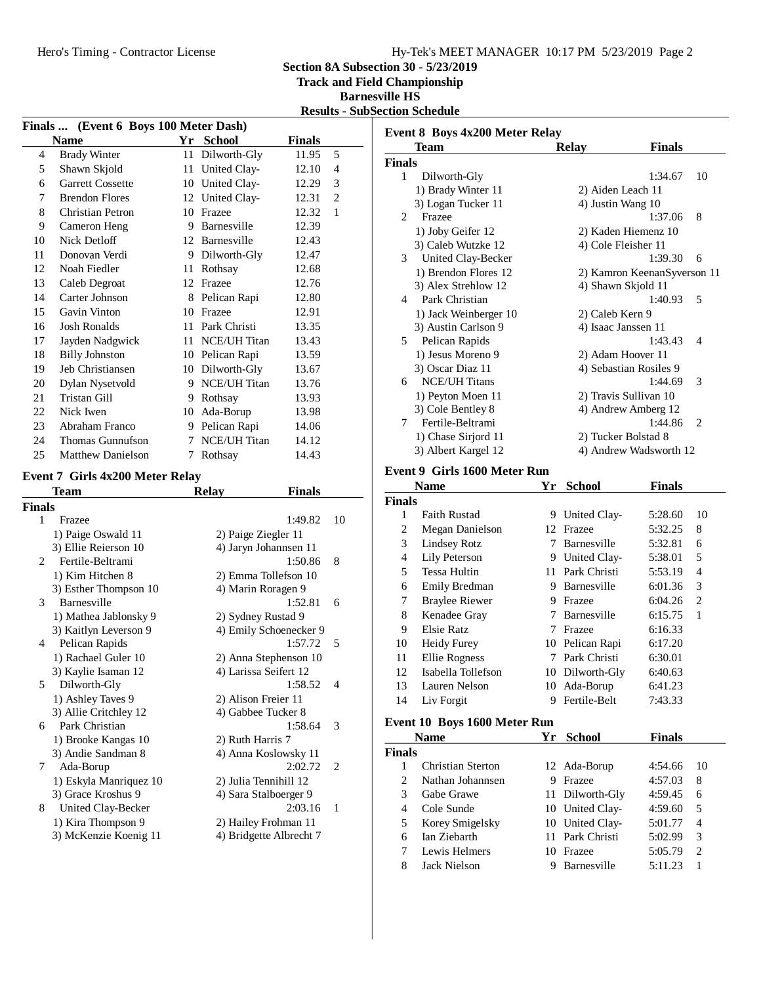**Section 8A Subsection 30 - 5/23/2019**

**Track and Field Championship**

**Barnesville HS**

**Results - SubSection Schedule**

|               | Finals  (Event 6 Boys 100 Meter Dash)  |      |                         |                |                |
|---------------|----------------------------------------|------|-------------------------|----------------|----------------|
|               | <b>Name</b>                            |      | Yr School               | <b>Finals</b>  |                |
| 4             | <b>Brady Winter</b>                    | 11   | Dilworth-Gly            | 11.95          | 5              |
| 5             | Shawn Skjold                           | 11   | United Clay-            | 12.10          | 4              |
| 6             | <b>Garrett Cossette</b>                |      | 10 United Clay-         | 12.29          | 3              |
| 7             | <b>Brendon Flores</b>                  |      | 12 United Clay-         | 12.31          | $\overline{c}$ |
| 8             | Christian Petron                       |      | 10 Frazee               | 12.32          | 1              |
| 9             | Cameron Heng                           |      | 9 Barnesville           | 12.39          |                |
| 10            | <b>Nick Detloff</b>                    |      | 12 Barnesville          | 12.43          |                |
| 11            | Donovan Verdi                          |      | 9 Dilworth-Gly          | 12.47          |                |
| 12            | Noah Fiedler                           |      | 11 Rothsay              | 12.68          |                |
| 13            | Caleb Degroat                          |      | 12 Frazee               | 12.76          |                |
| 14            | Carter Johnson                         |      | 8 Pelican Rapi          | 12.80          |                |
| 15            | Gavin Vinton                           |      | 10 Frazee               | 12.91          |                |
| 16            | <b>Josh Ronalds</b>                    |      | 11 Park Christi         | 13.35          |                |
| 17            | Jayden Nadgwick                        | 11 - | <b>NCE/UH Titan</b>     | 13.43          |                |
| 18            | <b>Billy Johnston</b>                  |      | 10 Pelican Rapi         | 13.59          |                |
| 19            | Jeb Christiansen                       |      | 10 Dilworth-Gly         | 13.67          |                |
| 20            | Dylan Nysetvold                        |      | 9 NCE/UH Titan          | 13.76          |                |
| 21            | <b>Tristan Gill</b>                    |      | 9 Rothsay               | 13.93          |                |
| 22            | Nick Iwen                              |      | 10 Ada-Borup            | 13.98          |                |
| 23            | Abraham Franco                         |      | 9 Pelican Rapi          | 14.06          |                |
| 24            | Thomas Gunnufson                       |      | <b>NCE/UH Titan</b>     |                |                |
| 25            | <b>Matthew Danielson</b>               | 7    |                         | 14.12<br>14.43 |                |
|               |                                        | 7    | Rothsay                 |                |                |
|               | <b>Event 7 Girls 4x200 Meter Relay</b> |      |                         |                |                |
|               | <b>Team</b>                            |      | <b>Relay</b>            | <b>Finals</b>  |                |
| <b>Finals</b> |                                        |      |                         |                |                |
| 1             | Frazee                                 |      |                         | 1:49.82        | 10             |
|               | 1) Paige Oswald 11                     |      | 2) Paige Ziegler 11     |                |                |
|               | 3) Ellie Reierson 10                   |      | 4) Jaryn Johannsen 11   |                |                |
| 2             | Fertile-Beltrami                       |      |                         | 1:50.86        | 8              |
|               | 1) Kim Hitchen 8                       |      | 2) Emma Tollefson 10    |                |                |
|               | 3) Esther Thompson 10                  |      | 4) Marin Roragen 9      |                |                |
| 3             | Barnesville                            |      |                         | 1:52.81        | 6              |
|               | 1) Mathea Jablonsky 9                  |      | 2) Sydney Rustad 9      |                |                |
|               | 3) Kaitlyn Leverson 9                  |      | 4) Emily Schoenecker 9  |                |                |
| 4             | Pelican Rapids                         |      |                         | 1:57.72        | 5              |
|               | 1) Rachael Guler 10                    |      | 2) Anna Stephenson 10   |                |                |
|               | 3) Kaylie Isaman 12                    |      | 4) Larissa Seifert 12   | 1:58.52        | 4              |
| 5             | Dilworth-Gly<br>1) Ashley Taves 9      |      | 2) Alison Freier 11     |                |                |
|               | 3) Allie Critchley 12                  |      | 4) Gabbee Tucker 8      |                |                |
| 6             | Park Christian                         |      |                         | 1:58.64        | 3              |
|               | 1) Brooke Kangas 10                    |      | 2) Ruth Harris 7        |                |                |
|               | 3) Andie Sandman 8                     |      | 4) Anna Koslowsky 11    |                |                |
| 7             | Ada-Borup                              |      |                         | 2:02.72        | 2              |
|               | 1) Eskyla Manriquez 10                 |      | 2) Julia Tennihill 12   |                |                |
|               | 3) Grace Kroshus 9                     |      | 4) Sara Stalboerger 9   |                |                |
| 8             | United Clay-Becker                     |      |                         | 2:03.16        | 1              |
|               | 1) Kira Thompson 9                     |      | 2) Hailey Frohman 11    |                |                |
|               | 3) McKenzie Koenig 11                  |      | 4) Bridgette Albrecht 7 |                |                |
|               |                                        |      |                         |                |                |

| <b>Event 8 Boys 4x200 Meter Relay</b> |                              |    |                        |                             |                |
|---------------------------------------|------------------------------|----|------------------------|-----------------------------|----------------|
|                                       | <b>Team</b>                  |    | <b>Relay</b>           | <b>Finals</b>               |                |
| Finals                                |                              |    |                        |                             |                |
| 1                                     | Dilworth-Gly                 |    |                        | 1:34.67                     | 10             |
|                                       | 1) Brady Winter 11           |    | 2) Aiden Leach 11      |                             |                |
|                                       | 3) Logan Tucker 11           |    | 4) Justin Wang 10      |                             |                |
| 2                                     | Frazee                       |    |                        | 1:37.06                     | 8              |
|                                       | 1) Joby Geifer 12            |    | 2) Kaden Hiemenz 10    |                             |                |
|                                       | 3) Caleb Wutzke 12           |    | 4) Cole Fleisher 11    |                             |                |
| 3                                     | United Clay-Becker           |    |                        | 1:39.30                     | 6              |
|                                       | 1) Brendon Flores 12         |    |                        | 2) Kamron KeenanSyverson 11 |                |
|                                       | 3) Alex Strehlow 12          |    | 4) Shawn Skjold 11     |                             |                |
| 4                                     | Park Christian               |    |                        | 1:40.93                     | 5              |
|                                       | 1) Jack Weinberger 10        |    | 2) Caleb Kern 9        |                             |                |
|                                       | 3) Austin Carlson 9          |    | 4) Isaac Janssen 11    |                             |                |
| 5                                     | Pelican Rapids               |    |                        | 1:43.43                     | 4              |
|                                       | 1) Jesus Moreno 9            |    | 2) Adam Hoover 11      |                             |                |
|                                       | 3) Oscar Diaz 11             |    | 4) Sebastian Rosiles 9 |                             |                |
| 6                                     | <b>NCE/UH Titans</b>         |    |                        | 1:44.69                     | 3              |
|                                       | 1) Peyton Moen 11            |    | 2) Travis Sullivan 10  |                             |                |
|                                       | 3) Cole Bentley 8            |    | 4) Andrew Amberg 12    |                             |                |
| 7                                     | Fertile-Beltrami             |    |                        | 1:44.86                     | $\overline{c}$ |
|                                       | 1) Chase Sirjord 11          |    | 2) Tucker Bolstad 8    |                             |                |
|                                       | 3) Albert Kargel 12          |    |                        | 4) Andrew Wadsworth 12      |                |
|                                       | Event 9 Girls 1600 Meter Run |    |                        |                             |                |
|                                       | <b>Name</b>                  | Yr | School                 | <b>Finals</b>               |                |
| Finals                                |                              |    |                        |                             |                |
| 1                                     | <b>Faith Rustad</b>          |    | 9 United Clay-         | 5:28.60                     | 10             |
| $\overline{c}$                        | <b>Megan Danielson</b>       |    | 12 Frazee              | 5:32.25                     | 8              |
| 3                                     | <b>Lindsey Rotz</b>          |    | 7 Barnesville          | 5:32.81                     | 6              |
| 4                                     | Lily Peterson                |    | 9 United Clay-         | 5:38.01                     | 5              |
| 5                                     | <b>Tessa Hultin</b>          |    | 11 Park Christi        | 5:53.19                     | $\overline{4}$ |
| 6                                     | Emily Bredman                |    | 9 Barnesville          | 6:01.36                     | 3              |
| 7                                     | <b>Braylee Riewer</b>        |    | 9 Frazee               | 6:04.26                     | $\overline{2}$ |
| 8                                     | Kenadee Gray                 |    | 7 Barnesville          | 6:15.75                     | 1              |
| 9                                     | <b>Elsie Ratz</b>            |    | 7 Frazee               | 6:16.33                     |                |
| 10                                    | <b>Heidy Furey</b>           |    | 10 Pelican Rapi        | 6:17.20                     |                |
| 11                                    | <b>Ellie Rogness</b>         |    | 7 Park Christi         | 6:30.01                     |                |
| 12                                    | Isabella Tollefson           |    | 10 Dilworth-Gly        | 6:40.63                     |                |
| 13                                    | Lauren Nelson                |    | 10 Ada-Borup           | 6:41.23                     |                |
| 14                                    | Liv Forgit                   | 9  | Fertile-Belt           | 7:43.33                     |                |
|                                       | Event 10 Boys 1600 Meter Run |    |                        |                             |                |
|                                       | Name                         | Yr | <b>School</b>          | <b>Finals</b>               |                |

|                             | <b>Name</b>              | Yг | School             | Finals  |    |
|-----------------------------|--------------------------|----|--------------------|---------|----|
| <b>Finals</b>               |                          |    |                    |         |    |
|                             | <b>Christian Sterton</b> |    | 12 Ada-Borup       | 4:54.66 | 10 |
| $\mathcal{D}_{\mathcal{L}}$ | Nathan Johannsen         | 9  | Frazee             | 4:57.03 | 8  |
| 3                           | Gabe Grawe               |    | 11 Dilworth-Gly    | 4:59.45 | 6  |
| 4                           | Cole Sunde               |    | 10 United Clay-    | 4:59.60 | 5  |
| 5                           | Korey Smigelsky          |    | 10 United Clay-    | 5:01.77 | 4  |
| 6                           | Ian Ziebarth             |    | 11 Park Christi    | 5:02.99 | 3  |
|                             | Lewis Helmers            | 10 | Frazee             | 5:05.79 | 2  |
| 8                           | Jack Nielson             |    | <b>Barnesville</b> | 5:11.23 |    |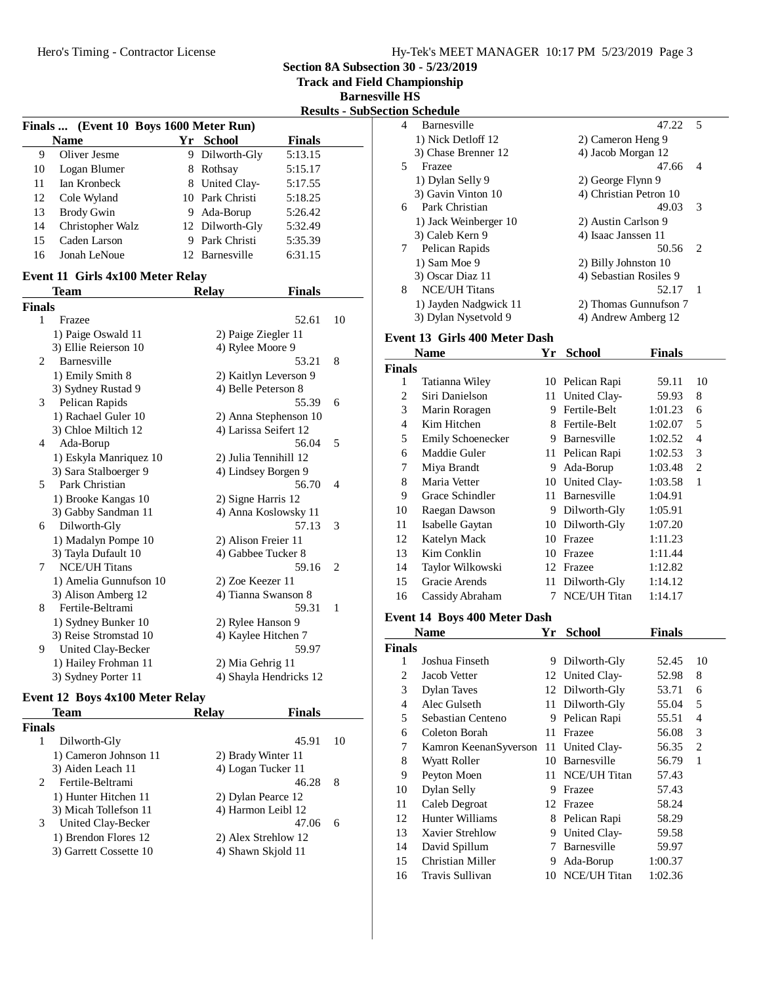| Hy-Tek's MEET MANAGER 10:17 PM 5/23/2019 Page 3 |  |  |
|-------------------------------------------------|--|--|
|                                                 |  |  |

**Section 8A Subsection 30 - 5/23/2019**

**Track and Field Championship**

**Barnesville HS**

|  | <b>Results - SubSection Schedule</b> |  |
|--|--------------------------------------|--|
|--|--------------------------------------|--|

|    |                                        |    |                 |               | . . |
|----|----------------------------------------|----|-----------------|---------------|-----|
|    | Finals  (Event 10 Boys 1600 Meter Run) |    |                 |               |     |
|    | <b>Name</b>                            | Yr | School          | <b>Finals</b> |     |
| 9  | Oliver Jesme                           |    | 9 Dilworth-Gly  | 5:13.15       |     |
| 10 | Logan Blumer                           |    | 8 Rothsay       | 5:15.17       |     |
| 11 | Ian Kronbeck                           |    | 8 United Clay-  | 5:17.55       |     |
| 12 | Cole Wyland                            |    | 10 Park Christi | 5:18.25       |     |
| 13 | <b>Brody Gwin</b>                      |    | 9 Ada-Borup     | 5:26.42       |     |
| 14 | Christopher Walz                       |    | 12 Dilworth-Gly | 5:32.49       |     |
| 15 | Caden Larson                           | 9  | Park Christi    | 5:35.39       |     |
| 16 | Jonah LeNoue                           |    | 12 Barnesville  | 6:31.15       |     |

# **Event 11 Girls 4x100 Meter Relay**

|                | Team                   | <b>Relay</b>           | <b>Finals</b> |                |
|----------------|------------------------|------------------------|---------------|----------------|
| <b>Finals</b>  |                        |                        |               |                |
| 1              | Frazee                 |                        | 52.61         | 10             |
|                | 1) Paige Oswald 11     | 2) Paige Ziegler 11    |               |                |
|                | 3) Ellie Reierson 10   | 4) Rylee Moore 9       |               |                |
| $\mathfrak{D}$ | Barnesville            |                        | 53.21         | 8              |
|                | 1) Emily Smith 8       | 2) Kaitlyn Leverson 9  |               |                |
|                | 3) Sydney Rustad 9     | 4) Belle Peterson 8    |               |                |
| 3              | Pelican Rapids         |                        | 55.39         | 6              |
|                | 1) Rachael Guler 10    | 2) Anna Stephenson 10  |               |                |
|                | 3) Chloe Miltich 12    | 4) Larissa Seifert 12  |               |                |
| 4              | Ada-Borup              |                        | 56.04         | 5              |
|                | 1) Eskyla Manriquez 10 | 2) Julia Tennihill 12  |               |                |
|                | 3) Sara Stalboerger 9  | 4) Lindsey Borgen 9    |               |                |
| 5              | Park Christian         |                        | 56.70         | $\overline{4}$ |
|                | 1) Brooke Kangas 10    | 2) Signe Harris 12     |               |                |
|                | 3) Gabby Sandman 11    | 4) Anna Koslowsky 11   |               |                |
| 6              | Dilworth-Gly           |                        | 57.13         | 3              |
|                | 1) Madalyn Pompe 10    | 2) Alison Freier 11    |               |                |
|                | 3) Tayla Dufault 10    | 4) Gabbee Tucker 8     |               |                |
| 7              | <b>NCE/UH Titans</b>   |                        | 59.16         | 2              |
|                | 1) Amelia Gunnufson 10 | 2) Zoe Keezer 11       |               |                |
|                | 3) Alison Amberg 12    | 4) Tianna Swanson 8    |               |                |
| 8              | Fertile-Beltrami       |                        | 59.31         | 1              |
|                | 1) Sydney Bunker 10    | 2) Rylee Hanson 9      |               |                |
|                | 3) Reise Stromstad 10  | 4) Kaylee Hitchen 7    |               |                |
| 9              | United Clay-Becker     |                        | 59.97         |                |
|                | 1) Hailey Frohman 11   | 2) Mia Gehrig 11       |               |                |
|                | 3) Sydney Porter 11    | 4) Shayla Hendricks 12 |               |                |
|                |                        |                        |               |                |

# **Event 12 Boys 4x100 Meter Relay**

| Team                               | Relav | <b>Finals</b>       |    |
|------------------------------------|-------|---------------------|----|
| <b>Finals</b>                      |       |                     |    |
| Dilworth-Gly<br>1                  |       | 45.91               | 10 |
| 1) Cameron Johnson 11              |       | 2) Brady Winter 11  |    |
| 3) Aiden Leach 11                  |       | 4) Logan Tucker 11  |    |
| Fertile-Beltrami<br>$\mathfrak{D}$ |       | 46.28               | 8  |
| 1) Hunter Hitchen 11               |       | 2) Dylan Pearce 12  |    |
| 3) Micah Tollefson 11              |       | 4) Harmon Leibl 12  |    |
| 3<br>United Clay-Becker            |       | 47.06               | 6  |
| 1) Brendon Flores 12               |       | 2) Alex Strehlow 12 |    |
| 3) Garrett Cossette 10             |       | 4) Shawn Skiold 11  |    |
|                                    |       |                     |    |

|   | ш эспсишс             |                        |                             |
|---|-----------------------|------------------------|-----------------------------|
| 4 | Barnesville           | 47.22                  | -5                          |
|   | 1) Nick Detloff 12    | 2) Cameron Heng 9      |                             |
|   | 3) Chase Brenner 12   | 4) Jacob Morgan 12     |                             |
| 5 | Frazee                | 47.66                  | 4                           |
|   | 1) Dylan Selly 9      | 2) George Flynn 9      |                             |
|   | 3) Gavin Vinton 10    | 4) Christian Petron 10 |                             |
| 6 | Park Christian        | 49.03                  | 3                           |
|   | 1) Jack Weinberger 10 | 2) Austin Carlson 9    |                             |
|   | 3) Caleb Kern 9       | 4) Isaac Janssen 11    |                             |
| 7 | Pelican Rapids        | 50.56                  | $\mathcal{D}_{\mathcal{L}}$ |
|   | 1) Sam Moe 9          | 2) Billy Johnston 10   |                             |
|   | 3) Oscar Diaz 11      | 4) Sebastian Rosiles 9 |                             |
| 8 | <b>NCE/UH Titans</b>  | 52.17                  |                             |
|   | 1) Jayden Nadgwick 11 | 2) Thomas Gunnufson 7  |                             |
|   | 3) Dylan Nysetvold 9  | 4) Andrew Amberg 12    |                             |

#### **Event 13 Girls 400 Meter Dash**

| Name                     |    | <b>School</b>       | Finals                          |                |
|--------------------------|----|---------------------|---------------------------------|----------------|
| <b>Finals</b>            |    |                     |                                 |                |
| Tatianna Wiley           |    |                     | 59.11                           | 10             |
| Siri Danielson           | 11 | United Clay-        | 59.93                           | 8              |
| Marin Roragen            | 9  | Fertile-Belt        | 1:01.23                         | 6              |
| Kim Hitchen              | 8  | Fertile-Belt        | 1:02.07                         | 5              |
| <b>Emily Schoenecker</b> | 9  | Barnesville         | 1:02.52                         | 4              |
| Maddie Guler             | 11 | Pelican Rapi        | 1:02.53                         | 3              |
| Miya Brandt              | 9  | Ada-Borup           | 1:03.48                         | $\overline{c}$ |
| Maria Vetter             | 10 |                     | 1:03.58                         | 1              |
| Grace Schindler          | 11 | Barnesville         | 1:04.91                         |                |
| Raegan Dawson            | 9  | Dilworth-Gly        | 1:05.91                         |                |
| Isabelle Gaytan          | 10 | Dilworth-Gly        | 1:07.20                         |                |
| Katelyn Mack             | 10 | Frazee              | 1:11.23                         |                |
| Kim Conklin              | 10 | Frazee              | 1:11.44                         |                |
| Taylor Wilkowski         | 12 | Frazee              | 1:12.82                         |                |
| Gracie Arends            | 11 | Dilworth-Gly        | 1:14.12                         |                |
| Cassidy Abraham          |    | <b>NCE/UH Titan</b> | 1:14.17                         |                |
|                          |    | Υr                  | 10 Pelican Rapi<br>United Clay- |                |

## **Event 14 Boys 400 Meter Dash**

|               | <b>Name</b>           | Yr  | School              | <b>Finals</b> |    |
|---------------|-----------------------|-----|---------------------|---------------|----|
| <b>Finals</b> |                       |     |                     |               |    |
| 1             | Joshua Finseth        | 9   | Dilworth-Gly        | 52.45         | 10 |
| 2             | Jacob Vetter          |     | 12 United Clay-     | 52.98         | 8  |
| 3             | <b>Dylan Taves</b>    |     | 12 Dilworth-Gly     | 53.71         | 6  |
| 4             | Alec Gulseth          | 11- | Dilworth-Gly        | 55.04         | 5  |
| 5             | Sebastian Centeno     | 9   | Pelican Rapi        | 55.51         | 4  |
| 6             | Coleton Borah         | 11  | Frazee              | 56.08         | 3  |
| 7             | Kamron KeenanSyverson | 11  | United Clay-        | 56.35         | 2  |
| 8             | <b>Wyatt Roller</b>   | 10  | Barnesville         | 56.79         | 1  |
| 9             | Peyton Moen           | 11  | <b>NCE/UH Titan</b> | 57.43         |    |
| 10            | Dylan Selly           | 9   | Frazee              | 57.43         |    |
| 11            | Caleb Degroat         | 12  | Frazee              | 58.24         |    |
| 12            | Hunter Williams       | 8   | Pelican Rapi        | 58.29         |    |
| 13            | Xavier Strehlow       | 9   | United Clay-        | 59.58         |    |
| 14            | David Spillum         | 7   | Barnesville         | 59.97         |    |
| 15            | Christian Miller      | 9   | Ada-Borup           | 1:00.37       |    |
| 16            | Travis Sullivan       | 10  | <b>NCE/UH Titan</b> | 1:02.36       |    |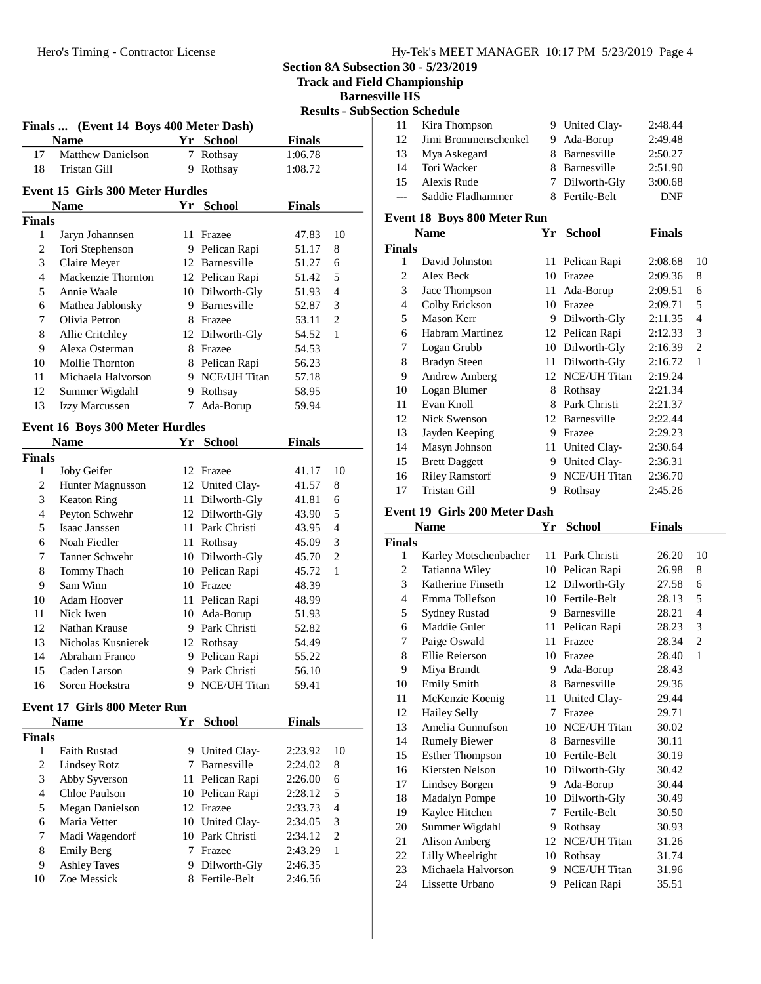| Hy-Tek's MEET MANAGER 10:17 PM 5/23/2019 Page 4 |  |  |
|-------------------------------------------------|--|--|
|                                                 |  |  |

**Section 8A Subsection 30 - 5/23/2019**

**Track and Field Championship**

**Barnesville HS**

**Results - SubSection Schedule**

|                          |                                         |   |                                  | 11656165       |                |
|--------------------------|-----------------------------------------|---|----------------------------------|----------------|----------------|
|                          | Finals  (Event 14 Boys 400 Meter Dash)  |   |                                  |                |                |
|                          | <b>Name</b>                             |   | Yr School                        | <b>Finals</b>  |                |
| 17                       | <b>Matthew Danielson</b>                | 7 | Rothsay                          | 1:06.78        |                |
| 18                       | Tristan Gill                            |   | 9 Rothsay                        | 1:08.72        |                |
|                          | <b>Event 15 Girls 300 Meter Hurdles</b> |   |                                  |                |                |
|                          | <b>Name</b>                             |   | Yr School                        | <b>Finals</b>  |                |
| Finals                   |                                         |   |                                  |                |                |
| 1                        | Jaryn Johannsen                         |   | 11 Frazee                        | 47.83          | 10             |
| 2                        | Tori Stephenson                         |   | 9 Pelican Rapi                   | 51.17          | 8              |
| 3                        | Claire Meyer                            |   | 12 Barnesville                   | 51.27          | 6              |
| $\overline{\mathcal{L}}$ | Mackenzie Thornton                      |   | 12 Pelican Rapi                  | 51.42          | 5              |
| 5                        | Annie Waale                             |   | 10 Dilworth-Gly                  | 51.93          | $\overline{4}$ |
| 6                        | Mathea Jablonsky                        |   | 9 Barnesville                    | 52.87          | 3              |
| 7                        | Olivia Petron                           |   | 8 Frazee                         | 53.11          | $\mathbf{2}$   |
| 8                        | Allie Critchley                         |   | 12 Dilworth-Gly                  | 54.52          | 1              |
| 9                        | Alexa Osterman                          |   | 8 Frazee                         | 54.53          |                |
| 10                       | Mollie Thornton                         |   | 8 Pelican Rapi                   | 56.23          |                |
| 11                       | Michaela Halvorson                      |   | 9 NCE/UH Titan                   | 57.18          |                |
| 12                       | Summer Wigdahl                          |   | 9 Rothsay                        | 58.95          |                |
| 13                       | Izzy Marcussen                          |   | 7 Ada-Borup                      | 59.94          |                |
|                          |                                         |   |                                  |                |                |
|                          | <b>Event 16 Boys 300 Meter Hurdles</b>  |   |                                  |                |                |
|                          | <b>Name</b>                             |   | Yr School                        | <b>Finals</b>  |                |
| Finals                   |                                         |   |                                  |                |                |
| 1                        | Joby Geifer                             |   | 12 Frazee                        | 41.17          | 10             |
| $\overline{c}$           | Hunter Magnusson                        |   | 12 United Clay-                  | 41.57          | 8              |
| 3                        | <b>Keaton Ring</b>                      |   | 11 Dilworth-Gly                  | 41.81          | 6              |
| $\overline{4}$           | Peyton Schwehr                          |   | 12 Dilworth-Gly                  | 43.90          | 5              |
| 5                        | Isaac Janssen                           |   | 11 Park Christi                  | 43.95          | $\overline{4}$ |
| 6                        | Noah Fiedler                            |   | 11 Rothsay                       | 45.09          | 3              |
| 7                        | Tanner Schwehr                          |   | 10 Dilworth-Gly                  | 45.70          | 2              |
| 8                        | Tommy Thach                             |   | 10 Pelican Rapi                  | 45.72          | 1              |
| 9<br>10                  | Sam Winn<br>Adam Hoover                 |   | 10 Frazee                        | 48.39<br>48.99 |                |
| 11                       | Nick Iwen                               |   | 11 Pelican Rapi<br>10 Ada-Borup  | 51.93          |                |
| 12                       | Nathan Krause                           |   | 9 Park Christi                   | 52.82          |                |
| 13                       | Nicholas Kusnierek                      |   | 12 Rothsay                       |                |                |
| 14                       | Abraham Franco                          |   | 9 Pelican Rapi                   | 54.49<br>55.22 |                |
| 15                       | Caden Larson                            |   | 9 Park Christi                   | 56.10          |                |
| 16                       | Soren Hoekstra                          |   | 9 NCE/UH Titan                   | 59.41          |                |
|                          |                                         |   |                                  |                |                |
|                          | Event 17 Girls 800 Meter Run            |   |                                  |                |                |
|                          | <b>Name</b>                             |   | Yr School                        | <b>Finals</b>  |                |
| Finals                   |                                         |   |                                  |                |                |
| 1                        | <b>Faith Rustad</b>                     |   | 9 United Clay-                   | 2:23.92        | 10             |
| 2                        | <b>Lindsey Rotz</b>                     |   | 7 Barnesville                    | 2:24.02        | 8              |
| 3                        | Abby Syverson                           |   | 11 Pelican Rapi                  | 2:26.00        | 6              |
| $\overline{4}$           | Chloe Paulson                           |   | 10 Pelican Rapi                  | 2:28.12        | 5              |
| 5                        | Megan Danielson                         |   | 12 Frazee                        | 2:33.73        | $\overline{4}$ |
| 6                        | Maria Vetter                            |   | 10 United Clay-                  | 2:34.05        | 3              |
| 7                        | Madi Wagendorf                          |   | 10 Park Christi                  | 2:34.12        | $\mathbf{2}$   |
|                          | <b>Emily Berg</b>                       |   | 7 Frazee                         | 2:43.29        | 1              |
| 8                        |                                         |   |                                  |                |                |
| 9<br>10                  | <b>Ashley Taves</b><br>Zoe Messick      |   | 9 Dilworth-Gly<br>8 Fertile-Belt | 2:46.35        |                |

|       | ion scheame          |                |            |  |
|-------|----------------------|----------------|------------|--|
| -11   | Kira Thompson        | 9 United Clay- | 2:48.44    |  |
| 12    | Jimi Brommenschenkel | 9 Ada-Borup    | 2:49.48    |  |
| 13    | Mya Askegard         | 8 Barnesville  | 2:50.27    |  |
| 14    | Tori Wacker          | 8 Barnesville  | 2:51.90    |  |
| 15    | Alexis Rude          | 7 Dilworth-Gly | 3:00.68    |  |
| $---$ | Saddie Fladhammer    | 8 Fertile-Belt | <b>DNF</b> |  |
|       |                      |                |            |  |

#### **Event 18 Boys 800 Meter Run**

|               | Name                  | Yr | <b>School</b>       | <b>Finals</b> |                |
|---------------|-----------------------|----|---------------------|---------------|----------------|
| <b>Finals</b> |                       |    |                     |               |                |
| 1             | David Johnston        | 11 | Pelican Rapi        | 2:08.68       | 10             |
| 2             | Alex Beck             | 10 | Frazee              | 2:09.36       | 8              |
| 3             | Jace Thompson         | 11 | Ada-Borup           | 2:09.51       | 6              |
| 4             | Colby Erickson        | 10 | Frazee              | 2:09.71       | 5              |
| 5             | Mason Kerr            | 9  | Dilworth-Gly        | 2:11.35       | 4              |
| 6             | Habram Martinez       |    | 12 Pelican Rapi     | 2:12.33       | 3              |
| 7             | Logan Grubb           | 10 | Dilworth-Gly        | 2:16.39       | $\overline{c}$ |
| 8             | <b>Bradyn Steen</b>   |    | 11 Dilworth-Gly     | 2:16.72       | 1              |
| 9             | <b>Andrew Amberg</b>  |    | 12 NCE/UH Titan     | 2:19.24       |                |
| 10            | Logan Blumer          | 8  | Rothsay             | 2:21.34       |                |
| 11            | Evan Knoll            | 8  | Park Christi        | 2:21.37       |                |
| 12            | Nick Swenson          | 12 | Barnesville         | 2:22.44       |                |
| 13            | Jayden Keeping        | 9  | Frazee              | 2:29.23       |                |
| 14            | Masyn Johnson         | 11 | United Clay-        | 2:30.64       |                |
| 15            | <b>Brett Daggett</b>  | 9  | United Clay-        | 2:36.31       |                |
| 16            | <b>Riley Ramstorf</b> | 9  | <b>NCE/UH Titan</b> | 2:36.70       |                |
| 17            | Tristan Gill          | 9  | Rothsay             | 2:45.26       |                |

# **Event 19 Girls 200 Meter Dash**

| <b>Name</b> |                        | Yr | School          | Finals |                |  |
|-------------|------------------------|----|-----------------|--------|----------------|--|
| Finals      |                        |    |                 |        |                |  |
| 1           | Karley Motschenbacher  | 11 | Park Christi    | 26.20  | 10             |  |
| 2           | Tatianna Wiley         | 10 | Pelican Rapi    | 26.98  | 8              |  |
| 3           | Katherine Finseth      | 12 | Dilworth-Gly    | 27.58  | 6              |  |
| 4           | Emma Tollefson         | 10 | Fertile-Belt    | 28.13  | 5              |  |
| 5           | <b>Sydney Rustad</b>   | 9  | Barnesville     | 28.21  | $\overline{4}$ |  |
| 6           | Maddie Guler           | 11 | Pelican Rapi    | 28.23  | 3              |  |
| 7           | Paige Oswald           | 11 | Frazee          | 28.34  | $\overline{2}$ |  |
| 8           | Ellie Reierson         | 10 | Frazee          | 28.40  | 1              |  |
| 9           | Miya Brandt            | 9  | Ada-Borup       | 28.43  |                |  |
| 10          | <b>Emily Smith</b>     | 8  | Barnesville     | 29.36  |                |  |
| 11          | McKenzie Koenig        | 11 | United Clay-    | 29.44  |                |  |
| 12          | <b>Hailey Selly</b>    | 7  | Frazee          | 29.71  |                |  |
| 13          | Amelia Gunnufson       | 10 | NCE/UH Titan    | 30.02  |                |  |
| 14          | <b>Rumely Biewer</b>   | 8  | Barnesville     | 30.11  |                |  |
| 15          | <b>Esther Thompson</b> | 10 | Fertile-Belt    | 30.19  |                |  |
| 16          | Kiersten Nelson        | 10 | Dilworth-Gly    | 30.42  |                |  |
| 17          | Lindsey Borgen         | 9  | Ada-Borup       | 30.44  |                |  |
| 18          | <b>Madalyn Pompe</b>   | 10 | Dilworth-Gly    | 30.49  |                |  |
| 19          | Kaylee Hitchen         | 7  | Fertile-Belt    | 30.50  |                |  |
| 20          | Summer Wigdahl         | 9  | Rothsay         | 30.93  |                |  |
| 21          | Alison Amberg          |    | 12 NCE/UH Titan | 31.26  |                |  |
| 22          | Lilly Wheelright       | 10 | Rothsay         | 31.74  |                |  |
| 23          | Michaela Halvorson     | 9  | NCE/UH Titan    | 31.96  |                |  |
| 24          | Lissette Urbano        | 9  | Pelican Rapi    | 35.51  |                |  |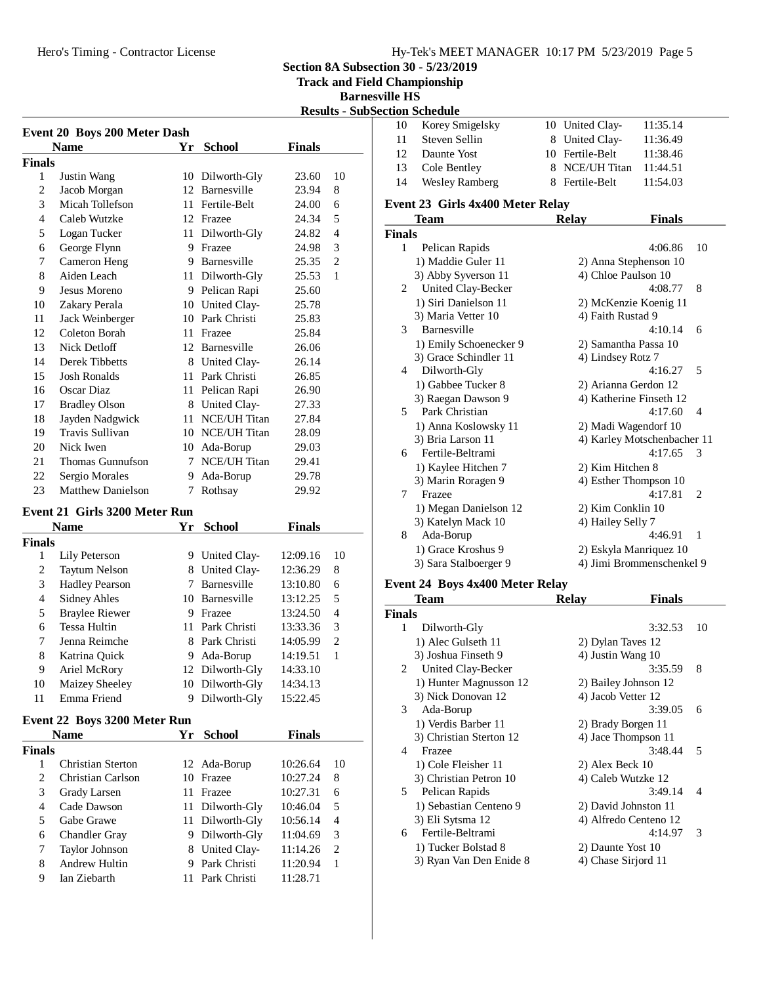**Section 8A Subsection 30 - 5/23/2019**

**Pld Championship** 

# **Barnesville HS**<br>Section Schodrk

|                                     |                               |    |                 |               | <b>Track and Fie</b><br><b>Barne</b><br><b>Results - Sub!</b> |  |
|-------------------------------------|-------------------------------|----|-----------------|---------------|---------------------------------------------------------------|--|
| <b>Event 20 Boys 200 Meter Dash</b> |                               |    |                 |               |                                                               |  |
|                                     | <b>Name</b>                   | Yr | <b>School</b>   | <b>Finals</b> |                                                               |  |
| Finals<br>1                         |                               |    | 10 Dilworth-Gly | 23.60         | 10                                                            |  |
| 2                                   | Justin Wang<br>Jacob Morgan   | 12 | Barnesville     | 23.94         | 8                                                             |  |
| 3                                   | Micah Tollefson               | 11 | Fertile-Belt    | 24.00         | 6                                                             |  |
| $\overline{4}$                      | Caleb Wutzke                  |    | 12 Frazee       | 24.34         | 5                                                             |  |
| 5                                   | Logan Tucker                  | 11 | Dilworth-Gly    | 24.82         | $\overline{4}$                                                |  |
| 6                                   | George Flynn                  | 9  | Frazee          | 24.98         | 3                                                             |  |
| 7                                   | Cameron Heng                  |    | 9 Barnesville   | 25.35         | $\overline{2}$                                                |  |
| 8                                   | Aiden Leach                   |    | 11 Dilworth-Gly | 25.53         | $\mathbf{1}$                                                  |  |
| 9                                   | Jesus Moreno                  | 9  | Pelican Rapi    | 25.60         |                                                               |  |
| 10                                  | Zakary Perala                 |    | 10 United Clay- | 25.78         |                                                               |  |
| 11                                  | Jack Weinberger               |    | 10 Park Christi | 25.83         |                                                               |  |
| 12                                  | Coleton Borah                 | 11 | Frazee          | 25.84         |                                                               |  |
| 13                                  | Nick Detloff                  | 12 | Barnesville     | 26.06         |                                                               |  |
| 14                                  | Derek Tibbetts                | 8  | United Clay-    | 26.14         |                                                               |  |
| 15                                  | <b>Josh Ronalds</b>           | 11 | Park Christi    | 26.85         |                                                               |  |
| 16                                  | Oscar Diaz                    | 11 | Pelican Rapi    | 26.90         |                                                               |  |
| 17                                  | <b>Bradley Olson</b>          | 8  | United Clay-    | 27.33         |                                                               |  |
| 18                                  | Jayden Nadgwick               | 11 | NCE/UH Titan    | 27.84         |                                                               |  |
| 19                                  | <b>Travis Sullivan</b>        | 10 | NCE/UH Titan    | 28.09         |                                                               |  |
| 20                                  | Nick Iwen                     |    | 10 Ada-Borup    | 29.03         |                                                               |  |
| 21                                  | Thomas Gunnufson              | 7  | NCE/UH Titan    | 29.41         |                                                               |  |
| 22                                  | Sergio Morales                | 9  | Ada-Borup       | 29.78         |                                                               |  |
| 23                                  | <b>Matthew Danielson</b>      | 7  | Rothsay         | 29.92         |                                                               |  |
|                                     | Event 21 Girls 3200 Meter Run |    |                 |               |                                                               |  |
|                                     | <b>Name</b>                   | Yr | <b>School</b>   | <b>Finals</b> |                                                               |  |

|        | <b>Name</b>           | Yr  | <b>School</b>   | Finals   |    |
|--------|-----------------------|-----|-----------------|----------|----|
| Finals |                       |     |                 |          |    |
| 1      | Lily Peterson         | 9.  | United Clay-    | 12:09.16 | 10 |
| 2      | <b>Taytum Nelson</b>  | 8   | United Clay-    | 12:36.29 | 8  |
| 3      | <b>Hadley Pearson</b> |     | Barnesville     | 13:10.80 | 6  |
| 4      | <b>Sidney Ahles</b>   |     | 10 Barnesville  | 13:12.25 | 5  |
| 5      | <b>Braylee Riewer</b> | 9   | Frazee          | 13:24.50 | 4  |
| 6      | <b>Tessa Hultin</b>   | 11. | Park Christi    | 13:33.36 | 3  |
| 7      | Jenna Reimche         |     | 8 Park Christi  | 14:05.99 | 2  |
| 8      | Katrina Quick         | 9   | Ada-Borup       | 14:19.51 | 1  |
| 9      | Ariel McRory          |     | 12 Dilworth-Gly | 14:33.10 |    |
| 10     | Maizey Sheeley        |     | 10 Dilworth-Gly | 14:34.13 |    |
| 11     | Emma Friend           |     | Dilworth-Gly    | 15:22.45 |    |
|        |                       |     |                 |          |    |

#### **Event 22 Boys 3200 Meter Run**

|               | <b>Name</b>           | Yr | <b>School</b>   | Finals   |                             |
|---------------|-----------------------|----|-----------------|----------|-----------------------------|
| <b>Finals</b> |                       |    |                 |          |                             |
|               | Christian Sterton     |    | 12 Ada-Borup    | 10:26.64 | 10                          |
| 2             | Christian Carlson     | 10 | Frazee          | 10:27.24 | 8                           |
| 3             | Grady Larsen          | 11 | Frazee          | 10:27.31 | 6                           |
| 4             | Cade Dawson           |    | 11 Dilworth-Gly | 10:46.04 | 5                           |
| 5             | Gabe Grawe            |    | 11 Dilworth-Gly | 10:56.14 | 4                           |
| 6             | <b>Chandler Gray</b>  | 9. | Dilworth-Gly    | 11:04.69 | 3                           |
| 7             | <b>Taylor Johnson</b> |    | 8 United Clay-  | 11:14.26 | $\mathcal{D}_{\mathcal{L}}$ |
| 8             | <b>Andrew Hultin</b>  | 9  | Park Christi    | 11:20.94 |                             |
| 9             | Ian Ziebarth          |    | Park Christi    | 11:28.71 |                             |

|               | <b>Section Schedule</b>          |    |                             |               |                |
|---------------|----------------------------------|----|-----------------------------|---------------|----------------|
| 10            | Korey Smigelsky                  |    | 10 United Clay-             | 11:35.14      |                |
| 11            | Steven Sellin                    |    | 8 United Clay-              | 11:36.49      |                |
| 12            | Daunte Yost                      | 10 | Fertile-Belt                | 11:38.46      |                |
| 13            | Cole Bentley                     |    | 8 NCE/UH Titan              | 11:44.51      |                |
| 14            | <b>Wesley Ramberg</b>            |    | 8 Fertile-Belt              | 11:54.03      |                |
|               | Event 23 Girls 4x400 Meter Relay |    |                             |               |                |
|               | Team                             |    | <b>Relay</b>                | <b>Finals</b> |                |
| <b>Finals</b> |                                  |    |                             |               |                |
| 1             | Pelican Rapids                   |    |                             | 4:06.86       | 10             |
|               | 1) Maddie Guler 11               |    | 2) Anna Stephenson 10       |               |                |
|               | 3) Abby Syverson 11              |    | 4) Chloe Paulson 10         |               |                |
| 2             | United Clay-Becker               |    |                             | 4:08.77       | 8              |
|               | 1) Siri Danielson 11             |    | 2) McKenzie Koenig 11       |               |                |
|               | 3) Maria Vetter 10               |    | 4) Faith Rustad 9           |               |                |
| 3             | Barnesville                      |    |                             | 4:10.14       | 6              |
|               | 1) Emily Schoenecker 9           |    | 2) Samantha Passa 10        |               |                |
|               | 3) Grace Schindler 11            |    | 4) Lindsey Rotz 7           |               |                |
| 4             | Dilworth-Gly                     |    |                             | 4:16.27       | 5              |
|               | 1) Gabbee Tucker 8               |    | 2) Arianna Gerdon 12        |               |                |
|               | 3) Raegan Dawson 9               |    | 4) Katherine Finseth 12     |               |                |
| 5             | Park Christian                   |    |                             | 4:17.60       | 4              |
|               | 1) Anna Koslowsky 11             |    | 2) Madi Wagendorf 10        |               |                |
|               | 3) Bria Larson 11                |    | 4) Karley Motschenbacher 11 |               |                |
| 6             | Fertile-Beltrami                 |    |                             | 4:17.65       | 3              |
|               | 1) Kaylee Hitchen 7              |    | 2) Kim Hitchen 8            |               |                |
|               | 3) Marin Roragen 9               |    | 4) Esther Thompson 10       |               |                |
| $\tau$        | Frazee                           |    |                             | 4:17.81       | $\overline{c}$ |
|               | 1) Megan Danielson 12            |    | 2) Kim Conklin 10           |               |                |
|               | 3) Katelyn Mack 10               |    | 4) Hailey Selly 7           |               |                |
| 8             | Ada-Borup                        |    |                             | 4:46.91       | $\mathbf{1}$   |
|               | 1) Grace Kroshus 9               |    | 2) Eskyla Manriquez 10      |               |                |
|               | 3) Sara Stalboerger 9            |    | 4) Jimi Brommenschenkel 9   |               |                |

## **Event 24 Boys 4x400 Meter Relay**

|               | Team                    | Relav              | <b>Finals</b>         |    |
|---------------|-------------------------|--------------------|-----------------------|----|
| <b>Finals</b> |                         |                    |                       |    |
| 1             | Dilworth-Gly            |                    | 3:32.53               | 10 |
|               | 1) Alec Gulseth 11      | 2) Dylan Taves 12  |                       |    |
|               | 3) Joshua Finseth 9     | 4) Justin Wang 10  |                       |    |
| 2             | United Clay-Becker      |                    | 3:35.59               | 8  |
|               | 1) Hunter Magnusson 12  |                    | 2) Bailey Johnson 12  |    |
|               | 3) Nick Donovan 12      | 4) Jacob Vetter 12 |                       |    |
| 3             | Ada-Borup               |                    | 3:39.05               | 6  |
|               | 1) Verdis Barber 11     |                    | 2) Brady Borgen 11    |    |
|               | 3) Christian Sterton 12 |                    | 4) Jace Thompson 11   |    |
| 4             | Frazee                  |                    | 3:48.44               | 5  |
|               | 1) Cole Fleisher 11     | 2) Alex Beck 10    |                       |    |
|               | 3) Christian Petron 10  |                    | 4) Caleb Wutzke 12    |    |
| 5             | Pelican Rapids          |                    | 3:49.14               | 4  |
|               | 1) Sebastian Centeno 9  |                    | 2) David Johnston 11  |    |
|               | 3) Eli Sytsma 12        |                    | 4) Alfredo Centeno 12 |    |
| 6             | Fertile-Beltrami        |                    | 4:14.97               | 3  |
|               | 1) Tucker Bolstad 8     | 2) Daunte Yost 10  |                       |    |
|               | 3) Ryan Van Den Enide 8 |                    | 4) Chase Sirjord 11   |    |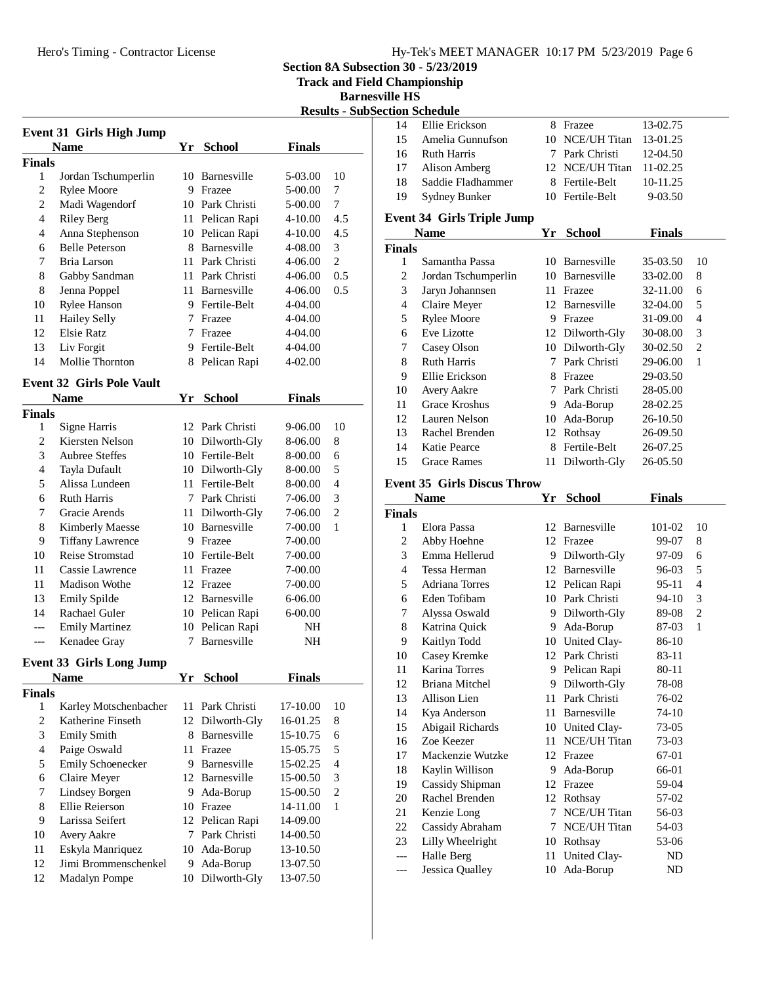**Section 8A Subsection 30 - 5/23/2019**

**Track and Field Championship**

**Barnesville HS**

|                                  |                                          |         |                                    |                      |                | <b>Results - SubSection Schedule</b> |               |
|----------------------------------|------------------------------------------|---------|------------------------------------|----------------------|----------------|--------------------------------------|---------------|
|                                  | Event 31 Girls High Jump                 |         |                                    |                      |                | 14                                   | Ellie Eri     |
|                                  | <b>Name</b>                              |         | Yr School                          | <b>Finals</b>        |                | 15                                   | Amelia        |
| Finals                           |                                          |         |                                    |                      |                | 16                                   | Ruth Ha       |
| 1                                | Jordan Tschumperlin                      |         | 10 Barnesville                     | 5-03.00              | 10             | 17                                   | Alison A      |
| $\boldsymbol{2}$                 | <b>Rylee Moore</b>                       |         | 9 Frazee                           | 5-00.00              | 7              | 18                                   | Saddie I      |
| 2                                | Madi Wagendorf                           |         | 10 Park Christi                    | 5-00.00              | 7              | 19                                   | Sydney l      |
| $\overline{4}$                   | <b>Riley Berg</b>                        |         | 11 Pelican Rapi                    | 4-10.00              | 4.5            |                                      | Event 34 Girl |
| 4                                | Anna Stephenson                          |         | 10 Pelican Rapi                    | 4-10.00              | 4.5            |                                      | <b>Name</b>   |
| 6                                | <b>Belle Peterson</b>                    |         | 8 Barnesville                      | 4-08.00              | 3              | <b>Finals</b>                        |               |
| 7                                | Bria Larson                              |         | 11 Park Christi                    | 4-06.00              | $\mathfrak{2}$ | $\mathbf{1}$                         | Samanth       |
| $\,$ 8 $\,$                      | Gabby Sandman                            |         | 11 Park Christi                    | 4-06.00              | 0.5            | $\mathbf{2}$                         | Jordan T      |
| 8                                | Jenna Poppel                             |         | 11 Barnesville                     | 4-06.00              | 0.5            | 3                                    | Jaryn Jo      |
| 10                               | <b>Rylee Hanson</b>                      |         | 9 Fertile-Belt                     | 4-04.00              |                | $\overline{4}$                       | Claire M      |
| 11                               | Hailey Selly                             |         | 7 Frazee                           | 4-04.00              |                | 5                                    | Rylee M       |
| 12                               | <b>Elsie Ratz</b>                        |         | 7 Frazee                           | 4-04.00              |                | 6                                    | Eve Lizo      |
| 13                               | Liv Forgit                               |         | 9 Fertile-Belt                     | 4-04.00              |                | 7                                    | Casey O       |
| 14                               | Mollie Thornton                          | 8       | Pelican Rapi                       | 4-02.00              |                | 8                                    | Ruth Ha       |
|                                  |                                          |         |                                    |                      |                | 9                                    | Ellie Eri     |
|                                  | <b>Event 32 Girls Pole Vault</b>         |         |                                    |                      |                | 10                                   | Avery A       |
|                                  | <b>Name</b>                              |         | Yr School                          | <b>Finals</b>        |                | 11                                   | Grace K       |
| Finals                           |                                          |         |                                    |                      |                | 12                                   | Lauren l      |
| 1                                | Signe Harris                             |         | 12 Park Christi                    | 9-06.00              | 10             | 13                                   | Rachel I      |
| $\overline{c}$                   | Kiersten Nelson<br><b>Aubree Steffes</b> |         | 10 Dilworth-Gly                    | 8-06.00              | 8              | 14                                   | Katie Pe      |
| $\mathfrak{Z}$<br>$\overline{4}$ |                                          |         | 10 Fertile-Belt                    | 8-00.00              | 6<br>5         | 15                                   | Grace R       |
|                                  | Tayla Dufault<br>Alissa Lundeen          |         | 10 Dilworth-Gly<br>11 Fertile-Belt | 8-00.00              | $\overline{4}$ |                                      | Event 35 Girl |
| 5<br>6                           | <b>Ruth Harris</b>                       |         | 7 Park Christi                     | 8-00.00              | 3              |                                      |               |
| 7                                | Gracie Arends                            |         | 11 Dilworth-Gly                    | 7-06.00<br>7-06.00   | $\overline{c}$ |                                      | <b>Name</b>   |
| $\,8\,$                          | <b>Kimberly Maesse</b>                   |         | 10 Barnesville                     | 7-00.00              | 1              | <b>Finals</b><br>1                   | Elora Pa      |
| 9                                | <b>Tiffany Lawrence</b>                  |         | 9 Frazee                           | 7-00.00              |                | $\overline{c}$                       | Abby Ho       |
| 10                               | Reise Stromstad                          |         | 10 Fertile-Belt                    | 7-00.00              |                | 3                                    | Emma H        |
| 11                               | Cassie Lawrence                          |         | 11 Frazee                          | 7-00.00              |                | $\overline{4}$                       | Tessa H       |
| 11                               | <b>Madison Wothe</b>                     |         | 12 Frazee                          | 7-00.00              |                | 5                                    | Adriana       |
| 13                               | Emily Spilde                             |         | 12 Barnesville                     | 6-06.00              |                | 6                                    | Eden To       |
| 14                               | Rachael Guler                            |         | 10 Pelican Rapi                    | 6-00.00              |                | 7                                    | Alyssa C      |
| ---                              | <b>Emily Martinez</b>                    |         | 10 Pelican Rapi                    | NH                   |                | 8                                    | Katrina       |
| ---                              | Kenadee Gray                             |         | 7 Barnesville                      | NH                   |                | 9                                    | Kaitlyn'      |
|                                  |                                          |         |                                    |                      |                | 10                                   | Casey K       |
|                                  | <b>Event 33 Girls Long Jump</b>          |         |                                    |                      |                | 11                                   | Karina 7      |
|                                  | <b>Name</b>                              |         | Yr School                          | <b>Finals</b>        |                | 12                                   | Briana N      |
| Finals                           |                                          |         |                                    |                      |                | 13                                   | Allison 1     |
| 1                                | Karley Motschenbacher                    |         | 11 Park Christi                    | 17-10.00             | 10             | 14                                   | Kya And       |
| $\overline{c}$                   | Katherine Finseth                        | 12      | Dilworth-Gly                       | 16-01.25             | 8              | 15                                   | Abigail       |
| 3                                | <b>Emily Smith</b>                       | 8       | Barnesville                        | 15-10.75             | 6              | 16                                   | Zoe Kee       |
| $\overline{4}$                   | Paige Oswald                             | 11      | Frazee                             | 15-05.75             | 5              | 17                                   | Macken:       |
| 5                                | Emily Schoenecker                        | 9.      | Barnesville                        | 15-02.25             | $\overline{4}$ | 18                                   | Kaylin V      |
| 6                                | Claire Meyer                             |         | 12 Barnesville                     | 15-00.50             | 3              | 19                                   | Cassidy       |
| 7                                | Lindsey Borgen                           | 9       | Ada-Borup                          | 15-00.50             | $\sqrt{2}$     | 20                                   | Rachel I      |
| 8                                | Ellie Reierson                           |         | 10 Frazee                          | 14-11.00             | $\mathbf{1}$   | 21                                   | Kenzie I      |
| 9                                | Larissa Seifert                          |         | 12 Pelican Rapi                    | 14-09.00             |                | 22                                   | Cassidy       |
| 10                               | Avery Aakre                              |         | 7 Park Christi                     | 14-00.50             |                | 23                                   | Lilly Wh      |
| 11                               | Eskyla Manriquez<br>Jimi Brommenschenkel |         | 10 Ada-Borup<br>Ada-Borup          | 13-10.50             |                | ---                                  | Halle Be      |
| 12<br>12                         | Madalyn Pompe                            | 9<br>10 | Dilworth-Gly                       | 13-07.50<br>13-07.50 |                | ---                                  | Jessica (     |
|                                  |                                          |         |                                    |                      |                |                                      |               |
|                                  |                                          |         |                                    |                      |                |                                      |               |

| 14             | Ellie Erickson                      | 8.     | Frazee                                 | 13-02.75       |                |  |  |  |  |
|----------------|-------------------------------------|--------|----------------------------------------|----------------|----------------|--|--|--|--|
| 15             | Amelia Gunnufson                    |        | 10 NCE/UH Titan                        | 13-01.25       |                |  |  |  |  |
| 16             | <b>Ruth Harris</b>                  |        | 7 Park Christi                         | 12-04.50       |                |  |  |  |  |
| 17             | <b>Alison Amberg</b>                |        | 12 NCE/UH Titan                        | 11-02.25       |                |  |  |  |  |
| 18             | Saddie Fladhammer                   |        | 8 Fertile-Belt                         | 10-11.25       |                |  |  |  |  |
| 19             | Sydney Bunker                       |        | 10 Fertile-Belt                        | 9-03.50        |                |  |  |  |  |
|                | <b>Event 34 Girls Triple Jump</b>   |        |                                        |                |                |  |  |  |  |
|                | <b>Name</b>                         |        | Yr School                              | <b>Finals</b>  |                |  |  |  |  |
| <b>Finals</b>  |                                     |        |                                        |                |                |  |  |  |  |
| 1              | Samantha Passa                      |        | 10 Barnesville                         | 35-03.50       | 10             |  |  |  |  |
| $\mathfrak{2}$ | Jordan Tschumperlin                 |        | 10 Barnesville                         | 33-02.00       | 8              |  |  |  |  |
| 3              | Jaryn Johannsen                     |        | 11 Frazee                              | 32-11.00       | 6              |  |  |  |  |
| 4              | Claire Meyer                        |        | 12 Barnesville                         | 32-04.00       | 5              |  |  |  |  |
| 5              | <b>Rylee Moore</b>                  |        | 9 Frazee                               | 31-09.00       | 4              |  |  |  |  |
| 6              | Eve Lizotte                         |        |                                        | 30-08.00       | 3              |  |  |  |  |
|                |                                     |        | 12 Dilworth-Gly                        |                | $\overline{c}$ |  |  |  |  |
| 7              | Casey Olson<br><b>Ruth Harris</b>   |        | 10 Dilworth-Gly<br>7 Park Christi      | 30-02.50       |                |  |  |  |  |
| 8              |                                     |        |                                        | 29-06.00       | 1              |  |  |  |  |
| 9              | Ellie Erickson                      |        | 8 Frazee                               | 29-03.50       |                |  |  |  |  |
| 10             | <b>Avery Aakre</b>                  |        | 7 Park Christi                         | 28-05.00       |                |  |  |  |  |
| 11             | Grace Kroshus                       |        | 9 Ada-Borup                            | 28-02.25       |                |  |  |  |  |
| 12             | Lauren Nelson                       | 10     | Ada-Borup                              | 26-10.50       |                |  |  |  |  |
| 13             | Rachel Brenden                      |        | 12 Rothsay                             | 26-09.50       |                |  |  |  |  |
| 14             | Katie Pearce                        |        | 8 Fertile-Belt                         | 26-07.25       |                |  |  |  |  |
| 15             | <b>Grace Rames</b>                  | 11     | Dilworth-Gly                           | 26-05.50       |                |  |  |  |  |
|                |                                     |        | <b>Event 35 Girls Discus Throw</b>     |                |                |  |  |  |  |
|                |                                     |        |                                        |                |                |  |  |  |  |
|                | <b>Name</b>                         | Yr     | <b>School</b>                          | <b>Finals</b>  |                |  |  |  |  |
| <b>Finals</b>  |                                     |        |                                        |                |                |  |  |  |  |
| 1              | Elora Passa                         | 12     | Barnesville                            | 101-02         | 10             |  |  |  |  |
| 2              | Abby Hoehne                         |        | 12 Frazee                              | 99-07          | 8              |  |  |  |  |
| 3              | Emma Hellerud                       |        | 9 Dilworth-Gly                         | 97-09          | 6              |  |  |  |  |
| 4              | Tessa Herman                        |        | 12 Barnesville                         | 96-03          | 5              |  |  |  |  |
| 5              | <b>Adriana Torres</b>               |        | 12 Pelican Rapi                        | 95-11          | $\overline{4}$ |  |  |  |  |
| 6              | Eden Tofibam                        |        | 10 Park Christi                        | 94-10          | 3              |  |  |  |  |
| 7              |                                     |        |                                        | 89-08          | $\overline{c}$ |  |  |  |  |
| 8              | Alyssa Oswald                       |        | 9 Dilworth-Gly                         | 87-03          | $\mathbf{1}$   |  |  |  |  |
| 9              | Katrina Quick                       |        | 9 Ada-Borup                            | 86-10          |                |  |  |  |  |
| 10             | Kaitlyn Todd<br>Casey Kremke        |        | 10 United Clay-<br>12 Park Christi     | 83-11          |                |  |  |  |  |
| 11             | Karina Torres                       | 9.     |                                        | 80-11          |                |  |  |  |  |
|                |                                     | 9.     | Pelican Rapi                           |                |                |  |  |  |  |
| 12<br>13       | <b>Briana Mitchel</b>               | 11-    | Dilworth-Gly<br>Park Christi           | 78-08          |                |  |  |  |  |
|                | Allison Lien                        | 11-    | Barnesville                            | 76-02          |                |  |  |  |  |
| 14             | Kya Anderson                        |        |                                        | 74-10          |                |  |  |  |  |
| 15<br>16       | Abigail Richards<br>Zoe Keezer      | 11-    | 10 United Clay-<br><b>NCE/UH Titan</b> | 73-05          |                |  |  |  |  |
|                | Mackenzie Wutzke                    |        |                                        | 73-03          |                |  |  |  |  |
| 17             |                                     |        | 12 Frazee                              | 67-01          |                |  |  |  |  |
| 18             | Kaylin Willison                     | 9.     | Ada-Borup                              | 66-01          |                |  |  |  |  |
| 19             | Cassidy Shipman                     |        | 12 Frazee                              | 59-04          |                |  |  |  |  |
| 20             | Rachel Brenden                      |        | 12 Rothsay                             | 57-02          |                |  |  |  |  |
| 21             | Kenzie Long                         | 7<br>7 | NCE/UH Titan                           | 56-03          |                |  |  |  |  |
| 22<br>23       | Cassidy Abraham<br>Lilly Wheelright | 10     | <b>NCE/UH Titan</b><br>Rothsay         | 54-03<br>53-06 |                |  |  |  |  |

--- Halle Berg 11 United Clay- ND --- Jessica Qualley 10 Ada-Borup ND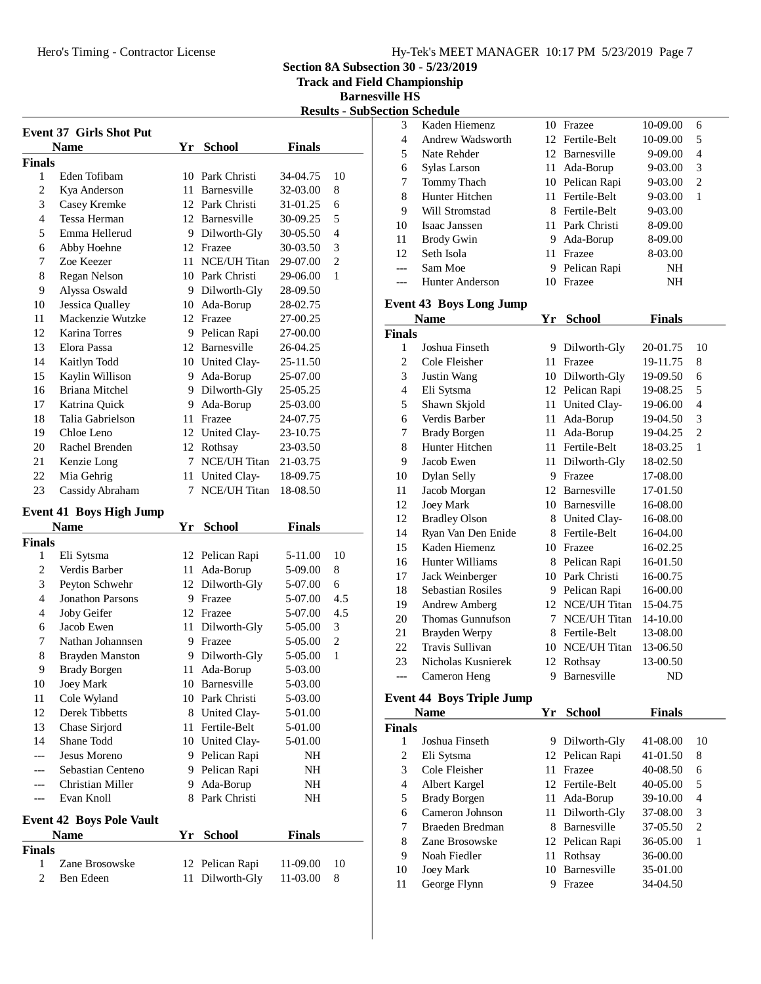**Section 8A Subsection 30 - 5/23/2019**

**Track and Field Championship**

**Barnesville HS Results - SubSection Schedule**

|                    | <b>Event 37 Girls Shot Put</b>  |      |                                    |                      |                     |
|--------------------|---------------------------------|------|------------------------------------|----------------------|---------------------|
|                    | Name                            |      | Yr School                          | <b>Finals</b>        |                     |
| <b>Finals</b><br>1 | Eden Tofibam                    | 10   | Park Christi                       |                      | 10                  |
| 2                  |                                 | 11   | Barnesville                        | 34-04.75<br>32-03.00 |                     |
| 3                  | Kya Anderson<br>Casey Kremke    |      | 12 Park Christi                    | 31-01.25             | 8<br>6              |
| $\overline{4}$     | Tessa Herman                    |      | 12 Barnesville                     |                      | 5                   |
| 5                  | Emma Hellerud                   |      |                                    | 30-09.25             | $\overline{4}$      |
|                    |                                 |      | 9 Dilworth-Gly                     | 30-05.50             |                     |
| 6                  | Abby Hoehne                     |      | 12 Frazee                          | 30-03.50             | 3<br>$\overline{2}$ |
| 7<br>8             | Zoe Keezer                      |      | 11 NCE/UH Titan<br>10 Park Christi | 29-07.00             | 1                   |
| 9                  | Regan Nelson                    |      |                                    | 29-06.00             |                     |
|                    | Alyssa Oswald                   |      | 9 Dilworth-Gly                     | 28-09.50             |                     |
| 10                 | Jessica Qualley                 | 10   | Ada-Borup                          | 28-02.75             |                     |
| 11                 | Mackenzie Wutzke                |      | 12 Frazee                          | 27-00.25             |                     |
| 12                 | Karina Torres                   |      | 9 Pelican Rapi                     | 27-00.00             |                     |
| 13                 | Elora Passa                     |      | 12 Barnesville                     | 26-04.25             |                     |
| 14                 | Kaitlyn Todd                    |      | 10 United Clay-                    | 25-11.50             |                     |
| 15                 | Kaylin Willison                 |      | 9 Ada-Borup                        | 25-07.00             |                     |
| 16                 | Briana Mitchel                  |      | 9 Dilworth-Gly                     | 25-05.25             |                     |
| 17                 | Katrina Quick                   |      | 9 Ada-Borup                        | 25-03.00             |                     |
| 18                 | Talia Gabrielson                |      | 11 Frazee                          | 24-07.75             |                     |
| 19                 | Chloe Leno                      |      | 12 United Clay-                    | 23-10.75             |                     |
| 20                 | Rachel Brenden                  |      | 12 Rothsay                         | 23-03.50             |                     |
| 21                 | Kenzie Long                     | 7    | <b>NCE/UH Titan</b>                | 21-03.75             |                     |
| 22                 | Mia Gehrig                      | 11   | United Clay-                       | 18-09.75             |                     |
| 23                 | Cassidy Abraham                 | 7    | <b>NCE/UH Titan</b>                | 18-08.50             |                     |
|                    | <b>Event 41 Boys High Jump</b>  |      |                                    |                      |                     |
|                    | <b>Name</b>                     | Yr - | <b>School</b>                      | <b>Finals</b>        |                     |
| <b>Finals</b>      |                                 |      |                                    |                      |                     |
| 1                  | Eli Sytsma                      |      | 12 Pelican Rapi                    | 5-11.00              | 10                  |
| $\overline{c}$     | Verdis Barber                   | 11   | Ada-Borup                          | 5-09.00              | 8                   |
| 3                  | Peyton Schwehr                  | 12   | Dilworth-Gly                       | 5-07.00              | 6                   |
| 4                  | <b>Jonathon Parsons</b>         |      | 9 Frazee                           | 5-07.00              | 4.5                 |
| 4                  | Joby Geifer                     |      | 12 Frazee                          | 5-07.00              | 4.5                 |
| 6                  | Jacob Ewen                      |      | 11 Dilworth-Gly                    | 5-05.00              | 3                   |
| 7                  | Nathan Johannsen                | 9    | Frazee                             | 5-05.00              | 2                   |
| 8                  | <b>Brayden Manston</b>          | 9    | Dilworth-Gly                       | 5-05.00              | 1                   |
| 9                  | Brady Borgen                    |      | 11 Ada-Borup                       | 5-03.00              |                     |
| 10                 | Joey Mark                       |      | 10 Barnesville                     | 5-03.00              |                     |
| 11                 | Cole Wyland                     |      | 10 Park Christi                    | 5-03.00              |                     |
| 12                 | <b>Derek Tibbetts</b>           |      | 8 United Clay-                     | 5-01.00              |                     |
| 13                 | Chase Sirjord                   |      | 11 Fertile-Belt                    | 5-01.00              |                     |
| 14                 | Shane Todd                      |      | 10 United Clay-                    | 5-01.00              |                     |
|                    | Jesus Moreno                    |      | 9 Pelican Rapi                     | NH                   |                     |
|                    | Sebastian Centeno               |      | 9 Pelican Rapi                     | NH                   |                     |
|                    | Christian Miller                |      | 9 Ada-Borup                        | NH                   |                     |
|                    | Evan Knoll                      |      | 8 Park Christi                     | NH                   |                     |
|                    | <b>Event 42 Boys Pole Vault</b> |      |                                    |                      |                     |
|                    | <b>Name</b>                     | Yr   | <b>School</b>                      | <b>Finals</b>        |                     |
| <b>Finals</b>      |                                 |      |                                    |                      |                     |
| 1                  | Zane Brosowske                  | 12   | Pelican Rapi                       | 11-09.00             | 10                  |
| 2                  | Ben Edeen                       | 11   | Dilworth-Gly                       | 11-03.00             | 8                   |
|                    |                                 |      |                                    |                      |                     |

|    | ıon Schedule      |                          |                 |             |   |  |
|----|-------------------|--------------------------|-----------------|-------------|---|--|
| 3  | Kaden Hiemenz     |                          | 10 Frazee       | 10-09.00    | 6 |  |
| 4  | Andrew Wadsworth  |                          | 12 Fertile-Belt | 10-09.00    | 5 |  |
| 5  | Nate Rehder       |                          | 12 Barnesville  | $9 - 09.00$ | 4 |  |
| 6  | Sylas Larson      |                          | 11 Ada-Borup    | 9-03.00     | 3 |  |
| 7  | Tommy Thach       |                          | 10 Pelican Rapi | $9 - 03.00$ | 2 |  |
| 8  | Hunter Hitchen    |                          | 11 Fertile-Belt | $9 - 03.00$ | 1 |  |
| 9  | Will Stromstad    | 8.                       | Fertile-Belt    | $9 - 03.00$ |   |  |
| 10 | Isaac Janssen     |                          | 11 Park Christi | 8-09.00     |   |  |
| 11 | <b>Brody Gwin</b> | 9.                       | Ada-Borup       | 8-09.00     |   |  |
| 12 | Seth Isola        | 11.                      | Frazee          | 8-03.00     |   |  |
|    | Sam Moe           | 9                        | Pelican Rapi    | NΗ          |   |  |
|    | Hunter Anderson   | $\mathbf{I}(\mathbf{I})$ | Frazee          | NΗ          |   |  |

#### **Event 43 Boys Long Jump**

|                | <b>Name</b>              | Yr | <b>School</b>       | <b>Finals</b> |                |
|----------------|--------------------------|----|---------------------|---------------|----------------|
| <b>Finals</b>  |                          |    |                     |               |                |
| 1              | Joshua Finseth           | 9  | Dilworth-Gly        | 20-01.75      | 10             |
| $\overline{2}$ | Cole Fleisher            | 11 | Frazee              | 19-11.75      | 8              |
| 3              | Justin Wang              | 10 | Dilworth-Gly        | 19-09.50      | 6              |
| 4              | Eli Sytsma               | 12 | Pelican Rapi        | 19-08.25      | 5              |
| 5              | Shawn Skjold             | 11 | United Clay-        | 19-06.00      | $\overline{4}$ |
| 6              | Verdis Barber            | 11 | Ada-Borup           | 19-04.50      | 3              |
| 7              | <b>Brady Borgen</b>      | 11 | Ada-Borup           | 19-04.25      | $\overline{2}$ |
| 8              | Hunter Hitchen           | 11 | Fertile-Belt        | 18-03.25      | $\mathbf{1}$   |
| 9              | Jacob Ewen               | 11 | Dilworth-Gly        | 18-02.50      |                |
| 10             | Dylan Selly              | 9  | Frazee              | 17-08.00      |                |
| 11             | Jacob Morgan             | 12 | Barnesville         | 17-01.50      |                |
| 12             | <b>Joey Mark</b>         | 10 | Barnesville         | 16-08.00      |                |
| 12             | <b>Bradley Olson</b>     |    | 8 United Clay-      | 16-08.00      |                |
| 14             | Ryan Van Den Enide       | 8  | Fertile-Belt        | 16-04.00      |                |
| 15             | Kaden Hiemenz            | 10 | Frazee              | 16-02.25      |                |
| 16             | Hunter Williams          | 8  | Pelican Rapi        | 16-01.50      |                |
| 17             | Jack Weinberger          | 10 | Park Christi        | 16-00.75      |                |
| 18             | <b>Sebastian Rosiles</b> | 9  | Pelican Rapi        | 16-00.00      |                |
| 19             | <b>Andrew Amberg</b>     | 12 | NCE/UH Titan        | 15-04.75      |                |
| 20             | Thomas Gunnufson         | 7  | <b>NCE/UH Titan</b> | 14-10.00      |                |
| 21             | Brayden Werpy            | 8  | Fertile-Belt        | 13-08.00      |                |
| 22             | <b>Travis Sullivan</b>   | 10 | <b>NCE/UH Titan</b> | 13-06.50      |                |
| 23             | Nicholas Kusnierek       | 12 | Rothsay             | 13-00.50      |                |
|                | Cameron Heng             | 9  | Barnesville         | ND            |                |

# **Event 44 Boys Triple Jump**

|                | $    -$<br>------ <i>--</i> ----- |    |                 |               |                |
|----------------|-----------------------------------|----|-----------------|---------------|----------------|
|                | <b>Name</b>                       | Yr | <b>School</b>   | <b>Finals</b> |                |
| <b>Finals</b>  |                                   |    |                 |               |                |
|                | Joshua Finseth                    |    | 9 Dilworth-Gly  | 41-08.00      | 10             |
| 2              | Eli Sytsma                        |    | 12 Pelican Rapi | 41-01.50      | 8              |
| 3              | Cole Fleisher                     | 11 | Frazee          | 40-08.50      | 6              |
| $\overline{4}$ | Albert Kargel                     |    | 12 Fertile-Belt | 40-05.00      | 5              |
| 5              | <b>Brady Borgen</b>               |    | 11 Ada-Borup    | 39-10.00      | 4              |
| 6              | Cameron Johnson                   |    | 11 Dilworth-Gly | 37-08.00      | 3              |
| 7              | Braeden Bredman                   | 8  | Barnesville     | 37-05.50      | $\overline{c}$ |
| 8              | Zane Brosowske                    |    | 12 Pelican Rapi | 36-05.00      | 1              |
| 9              | Noah Fiedler                      | 11 | Rothsay         | 36-00.00      |                |
| 10             | Joey Mark                         | 10 | Barnesville     | 35-01.00      |                |
| 11             | George Flynn                      |    | Frazee          | 34-04.50      |                |